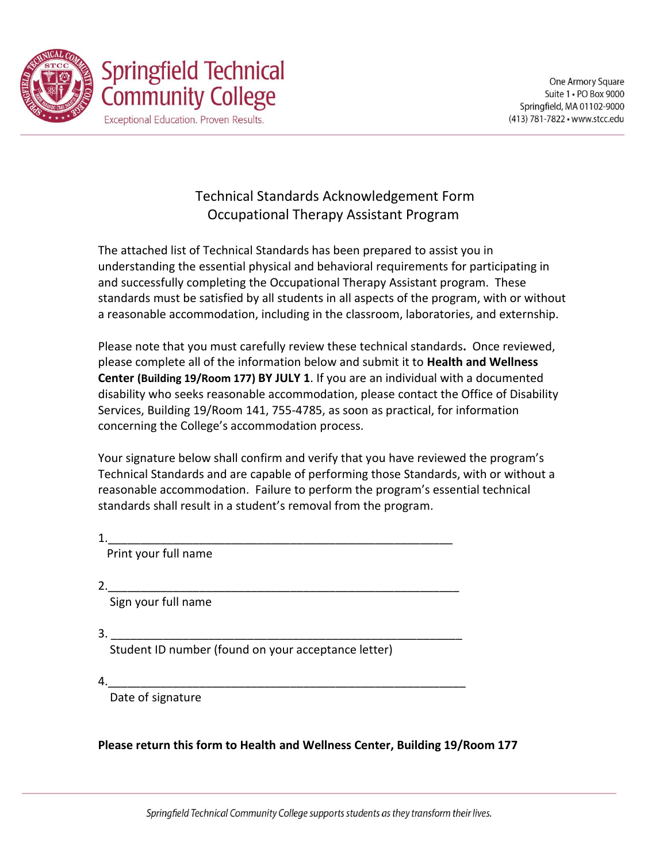

# Technical Standards Acknowledgement Form Occupational Therapy Assistant Program

The attached list of Technical Standards has been prepared to assist you in understanding the essential physical and behavioral requirements for participating in and successfully completing the Occupational Therapy Assistant program. These standards must be satisfied by all students in all aspects of the program, with or without a reasonable accommodation, including in the classroom, laboratories, and externship.

Please note that you must carefully review these technical standards**.** Once reviewed, please complete all of the information below and submit it to **Health and Wellness Center (Building 19/Room 177) BY JULY 1**. If you are an individual with a documented disability who seeks reasonable accommodation, please contact the Office of Disability Services, Building 19/Room 141, 755-4785, as soon as practical, for information concerning the College's accommodation process.

Your signature below shall confirm and verify that you have reviewed the program's Technical Standards and are capable of performing those Standards, with or without a reasonable accommodation. Failure to perform the program's essential technical standards shall result in a student's removal from the program.

1.\_\_\_\_\_\_\_\_\_\_\_\_\_\_\_\_\_\_\_\_\_\_\_\_\_\_\_\_\_\_\_\_\_\_\_\_\_\_\_\_\_\_\_\_\_\_\_\_\_\_\_\_\_

Print your full name

 $2.$ 

Sign your full name

 $3.$ 

Student ID number (found on your acceptance letter)

 $4.$ 

Date of signature

**Please return this form to Health and Wellness Center, Building 19/Room 177**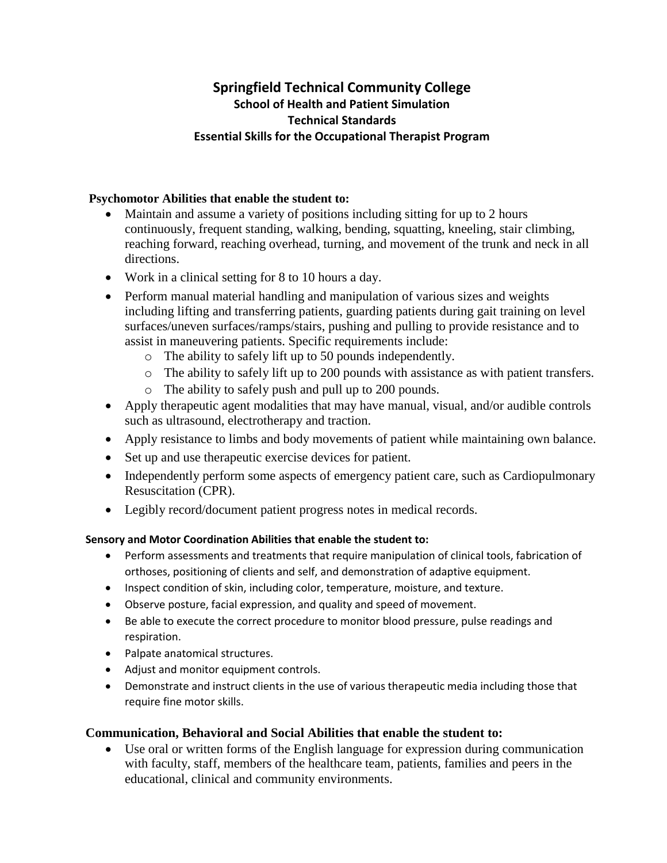## **Springfield Technical Community College School of Health and Patient Simulation Technical Standards Essential Skills for the Occupational Therapist Program**

#### **Psychomotor Abilities that enable the student to:**

- Maintain and assume a variety of positions including sitting for up to 2 hours continuously, frequent standing, walking, bending, squatting, kneeling, stair climbing, reaching forward, reaching overhead, turning, and movement of the trunk and neck in all directions.
- Work in a clinical setting for 8 to 10 hours a day.
- Perform manual material handling and manipulation of various sizes and weights including lifting and transferring patients, guarding patients during gait training on level surfaces/uneven surfaces/ramps/stairs, pushing and pulling to provide resistance and to assist in maneuvering patients. Specific requirements include:
	- o The ability to safely lift up to 50 pounds independently.
	- o The ability to safely lift up to 200 pounds with assistance as with patient transfers.
	- o The ability to safely push and pull up to 200 pounds.
- Apply therapeutic agent modalities that may have manual, visual, and/or audible controls such as ultrasound, electrotherapy and traction.
- Apply resistance to limbs and body movements of patient while maintaining own balance.
- Set up and use therapeutic exercise devices for patient.
- Independently perform some aspects of emergency patient care, such as Cardiopulmonary Resuscitation (CPR).
- Legibly record/document patient progress notes in medical records.

### **Sensory and Motor Coordination Abilities that enable the student to:**

- Perform assessments and treatments that require manipulation of clinical tools, fabrication of orthoses, positioning of clients and self, and demonstration of adaptive equipment.
- Inspect condition of skin, including color, temperature, moisture, and texture.
- Observe posture, facial expression, and quality and speed of movement.
- Be able to execute the correct procedure to monitor blood pressure, pulse readings and respiration.
- Palpate anatomical structures.
- Adjust and monitor equipment controls.
- Demonstrate and instruct clients in the use of various therapeutic media including those that require fine motor skills.

## **Communication, Behavioral and Social Abilities that enable the student to:**

 Use oral or written forms of the English language for expression during communication with faculty, staff, members of the healthcare team, patients, families and peers in the educational, clinical and community environments.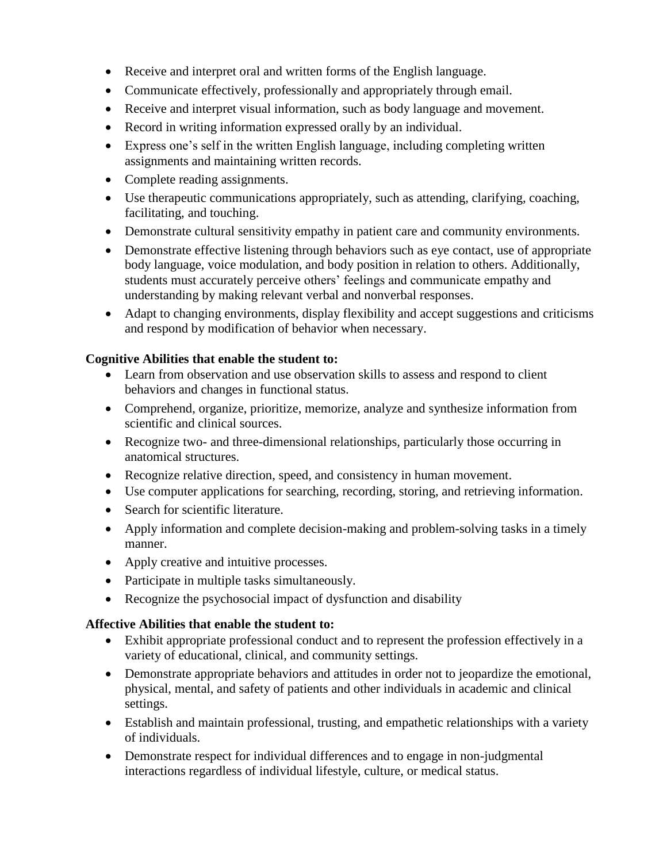- Receive and interpret oral and written forms of the English language.
- Communicate effectively, professionally and appropriately through email.
- Receive and interpret visual information, such as body language and movement.
- Record in writing information expressed orally by an individual.
- Express one's self in the written English language, including completing written assignments and maintaining written records.
- Complete reading assignments.
- Use therapeutic communications appropriately, such as attending, clarifying, coaching, facilitating, and touching.
- Demonstrate cultural sensitivity empathy in patient care and community environments.
- Demonstrate effective listening through behaviors such as eye contact, use of appropriate body language, voice modulation, and body position in relation to others. Additionally, students must accurately perceive others' feelings and communicate empathy and understanding by making relevant verbal and nonverbal responses.
- Adapt to changing environments, display flexibility and accept suggestions and criticisms and respond by modification of behavior when necessary.

### **Cognitive Abilities that enable the student to:**

- Learn from observation and use observation skills to assess and respond to client behaviors and changes in functional status.
- Comprehend, organize, prioritize, memorize, analyze and synthesize information from scientific and clinical sources.
- Recognize two- and three-dimensional relationships, particularly those occurring in anatomical structures.
- Recognize relative direction, speed, and consistency in human movement.
- Use computer applications for searching, recording, storing, and retrieving information.
- Search for scientific literature.
- Apply information and complete decision-making and problem-solving tasks in a timely manner.
- Apply creative and intuitive processes.
- Participate in multiple tasks simultaneously.
- Recognize the psychosocial impact of dysfunction and disability

### **Affective Abilities that enable the student to:**

- Exhibit appropriate professional conduct and to represent the profession effectively in a variety of educational, clinical, and community settings.
- Demonstrate appropriate behaviors and attitudes in order not to jeopardize the emotional, physical, mental, and safety of patients and other individuals in academic and clinical settings.
- Establish and maintain professional, trusting, and empathetic relationships with a variety of individuals.
- Demonstrate respect for individual differences and to engage in non-judgmental interactions regardless of individual lifestyle, culture, or medical status.